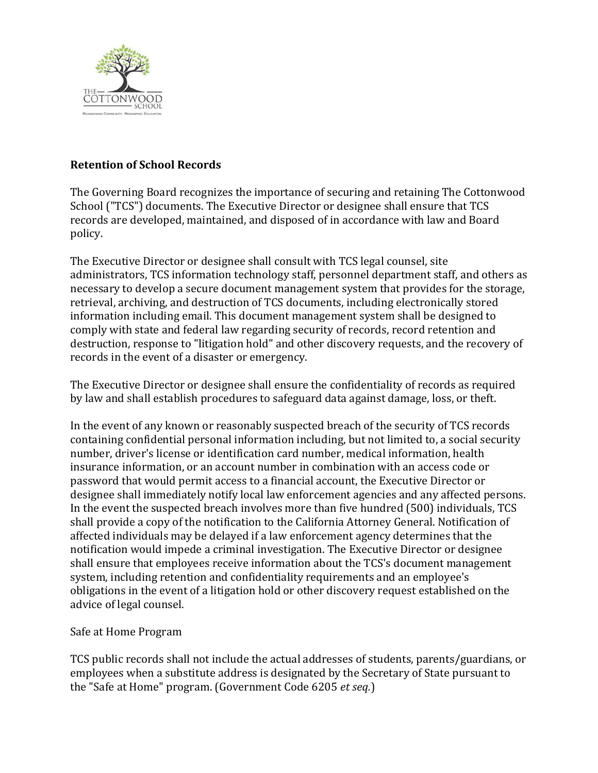

# **Retention of School Records**

The Governing Board recognizes the importance of securing and retaining The Cottonwood School ("TCS") documents. The Executive Director or designee shall ensure that TCS records are developed, maintained, and disposed of in accordance with law and Board policy.

The Executive Director or designee shall consult with TCS legal counsel, site administrators, TCS information technology staff, personnel department staff, and others as necessary to develop a secure document management system that provides for the storage, retrieval, archiving, and destruction of TCS documents, including electronically stored information including email. This document management system shall be designed to comply with state and federal law regarding security of records, record retention and destruction, response to "litigation hold" and other discovery requests, and the recovery of records in the event of a disaster or emergency.

The Executive Director or designee shall ensure the confidentiality of records as required by law and shall establish procedures to safeguard data against damage, loss, or theft.

In the event of any known or reasonably suspected breach of the security of TCS records containing confidential personal information including, but not limited to, a social security number, driver's license or identification card number, medical information, health insurance information, or an account number in combination with an access code or password that would permit access to a financial account, the Executive Director or designee shall immediately notify local law enforcement agencies and any affected persons. In the event the suspected breach involves more than five hundred (500) individuals, TCS shall provide a copy of the notification to the California Attorney General. Notification of affected individuals may be delayed if a law enforcement agency determines that the notification would impede a criminal investigation. The Executive Director or designee shall ensure that employees receive information about the TCS's document management system, including retention and confidentiality requirements and an employee's obligations in the event of a litigation hold or other discovery request established on the advice of legal counsel.

## Safe at Home Program

TCS public records shall not include the actual addresses of students, parents/guardians, or employees when a substitute address is designated by the Secretary of State pursuant to the "Safe at Home" program. (Government Code 6205 *et seq.*)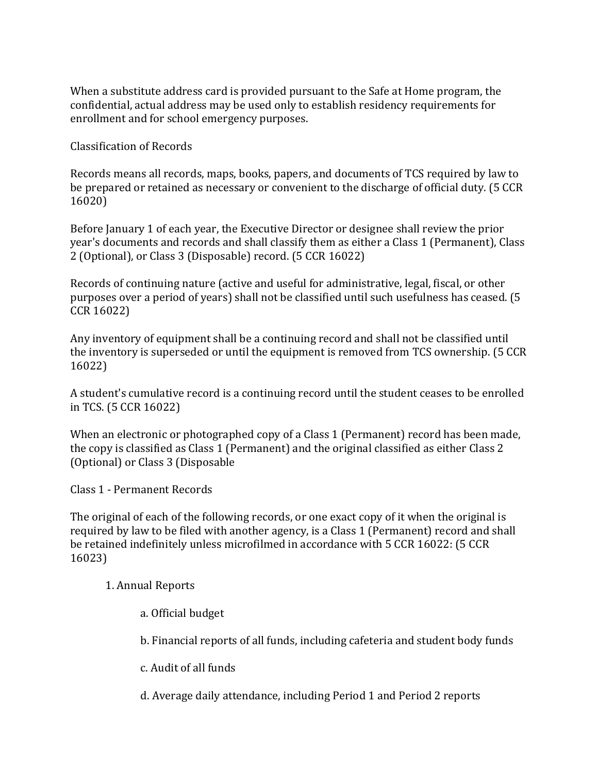When a substitute address card is provided pursuant to the Safe at Home program, the confidential, actual address may be used only to establish residency requirements for enrollment and for school emergency purposes.

Classification of Records

Records means all records, maps, books, papers, and documents of TCS required by law to be prepared or retained as necessary or convenient to the discharge of official duty. (5 CCR 16020)

Before January 1 of each year, the Executive Director or designee shall review the prior year's documents and records and shall classify them as either a Class 1 (Permanent), Class 2 (Optional), or Class 3 (Disposable) record. (5 CCR 16022)

Records of continuing nature (active and useful for administrative, legal, fiscal, or other purposes over a period of years) shall not be classified until such usefulness has ceased. (5 CCR 16022)

Any inventory of equipment shall be a continuing record and shall not be classified until the inventory is superseded or until the equipment is removed from TCS ownership. (5 CCR 16022)

A student's cumulative record is a continuing record until the student ceases to be enrolled in TCS. (5 CCR 16022)

When an electronic or photographed copy of a Class 1 (Permanent) record has been made, the copy is classified as Class 1 (Permanent) and the original classified as either Class 2 (Optional) or Class 3 (Disposable

Class 1 - Permanent Records

The original of each of the following records, or one exact copy of it when the original is required by law to be filed with another agency, is a Class 1 (Permanent) record and shall be retained indefinitely unless microfilmed in accordance with 5 CCR 16022: (5 CCR 16023)

1. Annual Reports

- a. Official budget
- b. Financial reports of all funds, including cafeteria and student body funds
- c. Audit of all funds
- d. Average daily attendance, including Period 1 and Period 2 reports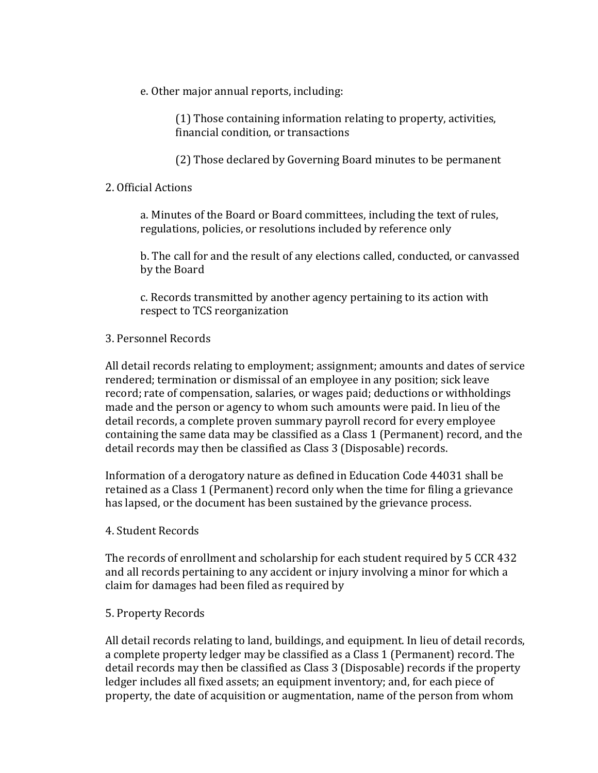e. Other major annual reports, including:

(1) Those containing information relating to property, activities, financial condition, or transactions

(2) Those declared by Governing Board minutes to be permanent

## 2. Official Actions

a. Minutes of the Board or Board committees, including the text of rules, regulations, policies, or resolutions included by reference only

b. The call for and the result of any elections called, conducted, or canvassed by the Board

c. Records transmitted by another agency pertaining to its action with respect to TCS reorganization

## 3. Personnel Records

All detail records relating to employment; assignment; amounts and dates of service rendered; termination or dismissal of an employee in any position; sick leave record; rate of compensation, salaries, or wages paid; deductions or withholdings made and the person or agency to whom such amounts were paid. In lieu of the detail records, a complete proven summary payroll record for every employee containing the same data may be classified as a Class 1 (Permanent) record, and the detail records may then be classified as Class 3 (Disposable) records.

Information of a derogatory nature as defined in Education Code 44031 shall be retained as a Class 1 (Permanent) record only when the time for filing a grievance has lapsed, or the document has been sustained by the grievance process.

## 4. Student Records

The records of enrollment and scholarship for each student required by 5 CCR 432 and all records pertaining to any accident or injury involving a minor for which a claim for damages had been filed as required by

## 5. Property Records

All detail records relating to land, buildings, and equipment. In lieu of detail records, a complete property ledger may be classified as a Class 1 (Permanent) record. The detail records may then be classified as Class 3 (Disposable) records if the property ledger includes all fixed assets; an equipment inventory; and, for each piece of property, the date of acquisition or augmentation, name of the person from whom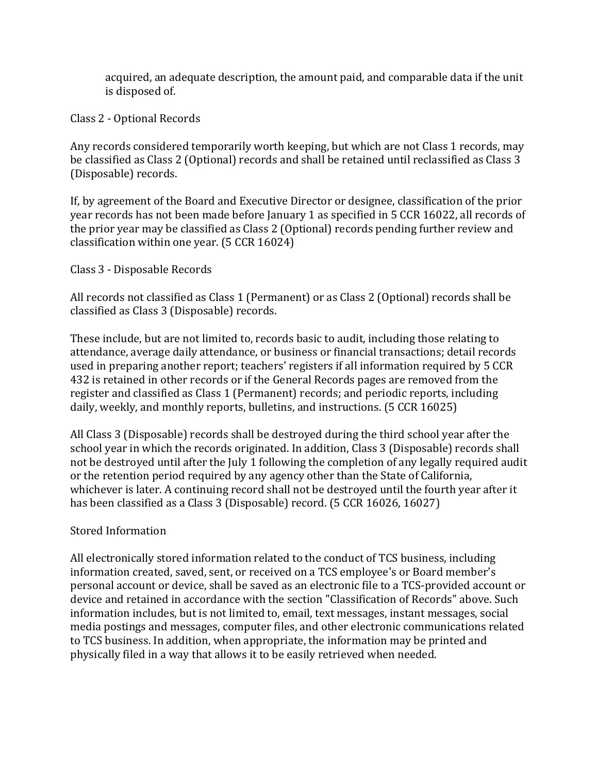acquired, an adequate description, the amount paid, and comparable data if the unit is disposed of.

Class 2 - Optional Records

Any records considered temporarily worth keeping, but which are not Class 1 records, may be classified as Class 2 (Optional) records and shall be retained until reclassified as Class 3 (Disposable) records.

If, by agreement of the Board and Executive Director or designee, classification of the prior year records has not been made before January 1 as specified in 5 CCR 16022, all records of the prior year may be classified as Class 2 (Optional) records pending further review and classification within one year. (5 CCR 16024)

Class 3 - Disposable Records

All records not classified as Class 1 (Permanent) or as Class 2 (Optional) records shall be classified as Class 3 (Disposable) records.

These include, but are not limited to, records basic to audit, including those relating to attendance, average daily attendance, or business or financial transactions; detail records used in preparing another report; teachers' registers if all information required by 5 CCR 432 is retained in other records or if the General Records pages are removed from the register and classified as Class 1 (Permanent) records; and periodic reports, including daily, weekly, and monthly reports, bulletins, and instructions. (5 CCR 16025)

All Class 3 (Disposable) records shall be destroyed during the third school year after the school year in which the records originated. In addition, Class 3 (Disposable) records shall not be destroyed until after the July 1 following the completion of any legally required audit or the retention period required by any agency other than the State of California, whichever is later. A continuing record shall not be destroyed until the fourth year after it has been classified as a Class 3 (Disposable) record. (5 CCR 16026, 16027)

## Stored Information

All electronically stored information related to the conduct of TCS business, including information created, saved, sent, or received on a TCS employee's or Board member's personal account or device, shall be saved as an electronic file to a TCS-provided account or device and retained in accordance with the section "Classification of Records" above. Such information includes, but is not limited to, email, text messages, instant messages, social media postings and messages, computer files, and other electronic communications related to TCS business. In addition, when appropriate, the information may be printed and physically filed in a way that allows it to be easily retrieved when needed.